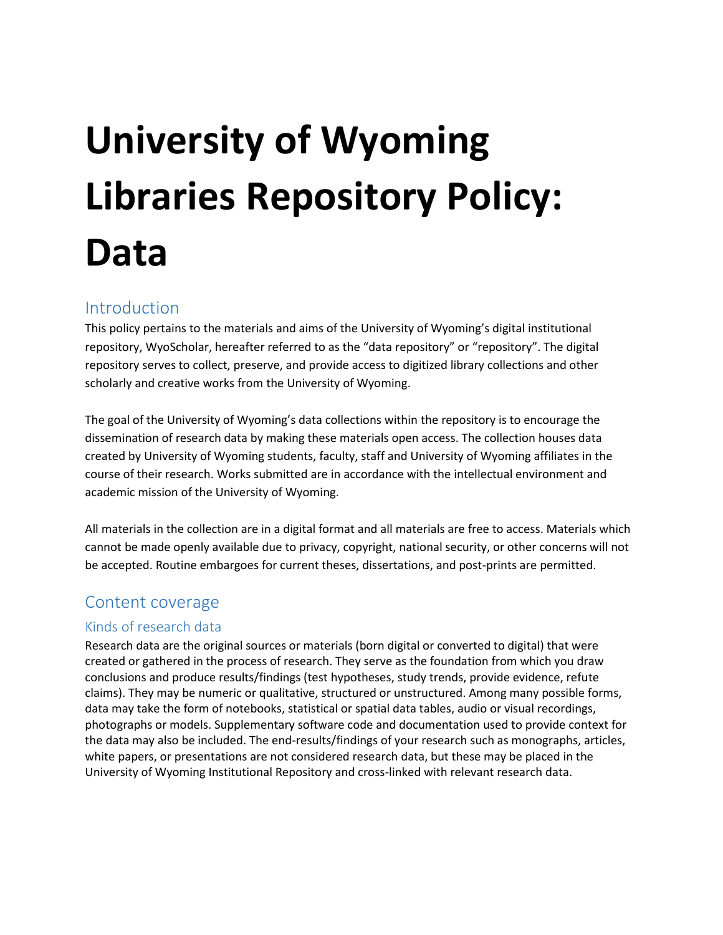# **University of Wyoming Libraries Repository Policy: Data**

## Introduction

This policy pertains to the materials and aims of the University of Wyoming's digital institutional repository, WyoScholar, hereafter referred to as the "data repository" or "repository". The digital repository serves to collect, preserve, and provide access to digitized library collections and other scholarly and creative works from the University of Wyoming.

The goal of the University of Wyoming's data collections within the repository is to encourage the dissemination of research data by making these materials open access. The collection houses data created by University of Wyoming students, faculty, staff and University of Wyoming affiliates in the course of their research. Works submitted are in accordance with the intellectual environment and academic mission of the University of Wyoming.

All materials in the collection are in a digital format and all materials are free to access. Materials which cannot be made openly available due to privacy, copyright, national security, or other concerns will not be accepted. Routine embargoes for current theses, dissertations, and post-prints are permitted.

## Content coverage

#### Kinds of research data

Research data are the original sources or materials (born digital or converted to digital) that were created or gathered in the process of research. They serve as the foundation from which you draw conclusions and produce results/findings (test hypotheses, study trends, provide evidence, refute claims). They may be numeric or qualitative, structured or unstructured. Among many possible forms, data may take the form of notebooks, statistical or spatial data tables, audio or visual recordings, photographs or models. Supplementary software code and documentation used to provide context for the data may also be included. The end-results/findings of your research such as monographs, articles, white papers, or presentations are not considered research data, but these may be placed in the University of Wyoming Institutional Repository and cross-linked with relevant research data.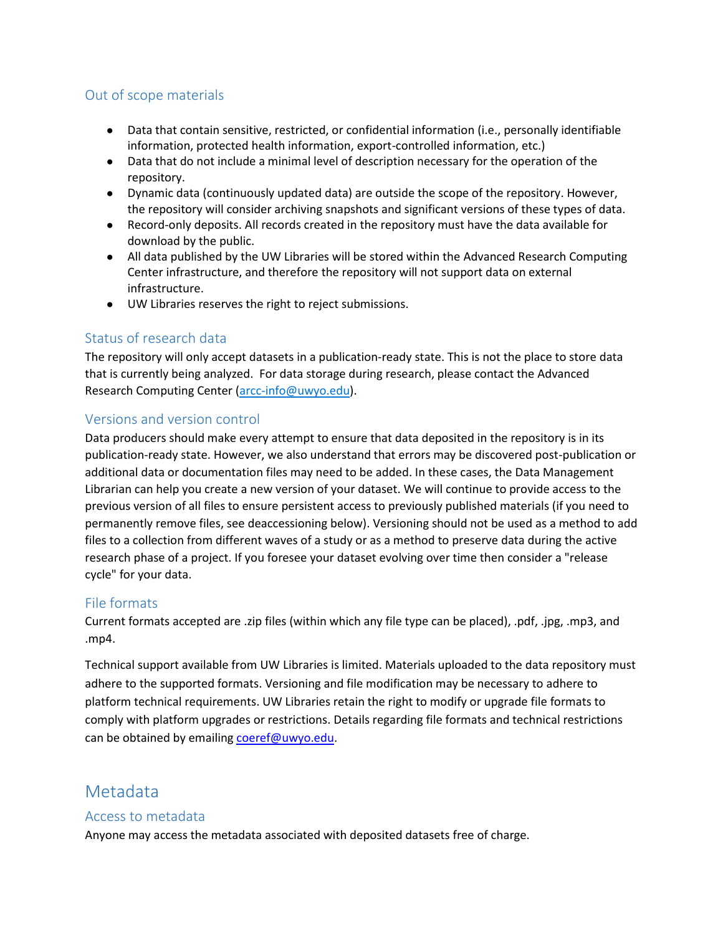#### Out of scope materials

- Data that contain sensitive, restricted, or confidential information (i.e., personally identifiable information, protected health information, export-controlled information, etc.)
- Data that do not include a minimal level of description necessary for the operation of the repository.
- Dynamic data (continuously updated data) are outside the scope of the repository. However, the repository will consider archiving snapshots and significant versions of these types of data.
- Record-only deposits. All records created in the repository must have the data available for download by the public.
- All data published by the UW Libraries will be stored within the Advanced Research Computing Center infrastructure, and therefore the repository will not support data on external infrastructure.
- UW Libraries reserves the right to reject submissions.

#### Status of research data

The repository will only accept datasets in a publication-ready state. This is not the place to store data that is currently being analyzed. For data storage during research, please contact the Advanced Research Computing Center [\(arcc-info@uwyo.edu\)](mailto:arcc-info@uwyo.edu).

#### Versions and version control

Data producers should make every attempt to ensure that data deposited in the repository is in its publication-ready state. However, we also understand that errors may be discovered post-publication or additional data or documentation files may need to be added. In these cases, the Data Management Librarian can help you create a new version of your dataset. We will continue to provide access to the previous version of all files to ensure persistent access to previously published materials (if you need to permanently remove files, see deaccessioning below). Versioning should not be used as a method to add files to a collection from different waves of a study or as a method to preserve data during the active research phase of a project. If you foresee your dataset evolving over time then consider a "release cycle" for your data.

#### File formats

Current formats accepted are .zip files (within which any file type can be placed), .pdf, .jpg, .mp3, and .mp4.

Technical support available from UW Libraries is limited. Materials uploaded to the data repository must adhere to the supported formats. Versioning and file modification may be necessary to adhere to platform technical requirements. UW Libraries retain the right to modify or upgrade file formats to comply with platform upgrades or restrictions. Details regarding file formats and technical restrictions can be obtained by emailing [coeref@uwyo.edu.](mailto:coeref@uwyo.edu)

### Metadata

#### Access to metadata

Anyone may access the metadata associated with deposited datasets free of charge.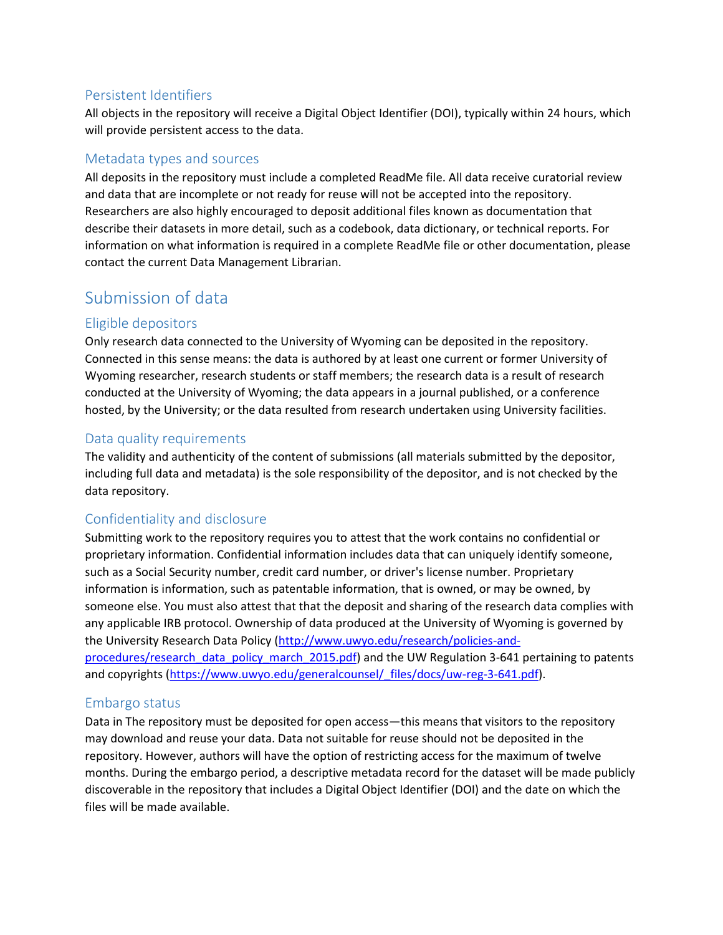#### Persistent Identifiers

All objects in the repository will receive a Digital Object Identifier (DOI), typically within 24 hours, which will provide persistent access to the data.

#### Metadata types and sources

All deposits in the repository must include a completed ReadMe file. All data receive curatorial review and data that are incomplete or not ready for reuse will not be accepted into the repository. Researchers are also highly encouraged to deposit additional files known as documentation that describe their datasets in more detail, such as a codebook, data dictionary, or technical reports. For information on what information is required in a complete ReadMe file or other documentation, please contact the current Data Management Librarian.

# Submission of data

#### Eligible depositors

Only research data connected to the University of Wyoming can be deposited in the repository. Connected in this sense means: the data is authored by at least one current or former University of Wyoming researcher, research students or staff members; the research data is a result of research conducted at the University of Wyoming; the data appears in a journal published, or a conference hosted, by the University; or the data resulted from research undertaken using University facilities.

#### Data quality requirements

The validity and authenticity of the content of submissions (all materials submitted by the depositor, including full data and metadata) is the sole responsibility of the depositor, and is not checked by the data repository.

#### Confidentiality and disclosure

Submitting work to the repository requires you to attest that the work contains no confidential or proprietary information. Confidential information includes data that can uniquely identify someone, such as a Social Security number, credit card number, or driver's license number. Proprietary information is information, such as patentable information, that is owned, or may be owned, by someone else. You must also attest that that the deposit and sharing of the research data complies with any applicable IRB protocol. Ownership of data produced at the University of Wyoming is governed by the University Research Data Policy [\(http://www.uwyo.edu/research/policies-and](http://www.uwyo.edu/research/policies-and-procedures/research_data_policy_march_2015.pdf)[procedures/research\\_data\\_policy\\_march\\_2015.pdf\)](http://www.uwyo.edu/research/policies-and-procedures/research_data_policy_march_2015.pdf) and the UW Regulation 3-641 pertaining to patents and copyrights [\(https://www.uwyo.edu/generalcounsel/\\_files/docs/uw-reg-3-641.pdf\)](https://www.uwyo.edu/generalcounsel/_files/docs/uw-reg-3-641.pdf).

#### Embargo status

Data in The repository must be deposited for open access—this means that visitors to the repository may download and reuse your data. Data not suitable for reuse should not be deposited in the repository. However, authors will have the option of restricting access for the maximum of twelve months. During the embargo period, a descriptive metadata record for the dataset will be made publicly discoverable in the repository that includes a Digital Object Identifier (DOI) and the date on which the files will be made available.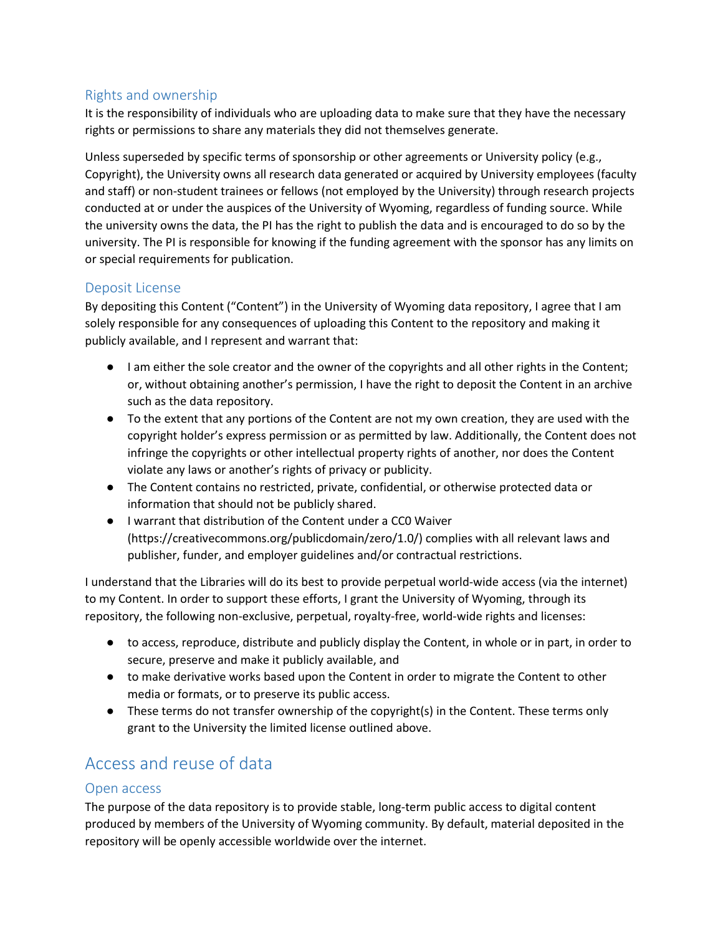#### Rights and ownership

It is the responsibility of individuals who are uploading data to make sure that they have the necessary rights or permissions to share any materials they did not themselves generate.

Unless superseded by specific terms of sponsorship or other agreements or University policy (e.g., Copyright), the University owns all research data generated or acquired by University employees (faculty and staff) or non-student trainees or fellows (not employed by the University) through research projects conducted at or under the auspices of the University of Wyoming, regardless of funding source. While the university owns the data, the PI has the right to publish the data and is encouraged to do so by the university. The PI is responsible for knowing if the funding agreement with the sponsor has any limits on or special requirements for publication.

#### Deposit License

By depositing this Content ("Content") in the University of Wyoming data repository, I agree that I am solely responsible for any consequences of uploading this Content to the repository and making it publicly available, and I represent and warrant that:

- I am either the sole creator and the owner of the copyrights and all other rights in the Content; or, without obtaining another's permission, I have the right to deposit the Content in an archive such as the data repository.
- To the extent that any portions of the Content are not my own creation, they are used with the copyright holder's express permission or as permitted by law. Additionally, the Content does not infringe the copyrights or other intellectual property rights of another, nor does the Content violate any laws or another's rights of privacy or publicity.
- The Content contains no restricted, private, confidential, or otherwise protected data or information that should not be publicly shared.
- I warrant that distribution of the Content under a CC0 Waiver (https://creativecommons.org/publicdomain/zero/1.0/) complies with all relevant laws and publisher, funder, and employer guidelines and/or contractual restrictions.

I understand that the Libraries will do its best to provide perpetual world-wide access (via the internet) to my Content. In order to support these efforts, I grant the University of Wyoming, through its repository, the following non-exclusive, perpetual, royalty-free, world-wide rights and licenses:

- to access, reproduce, distribute and publicly display the Content, in whole or in part, in order to secure, preserve and make it publicly available, and
- to make derivative works based upon the Content in order to migrate the Content to other media or formats, or to preserve its public access.
- These terms do not transfer ownership of the copyright(s) in the Content. These terms only grant to the University the limited license outlined above.

# Access and reuse of data

#### Open access

The purpose of the data repository is to provide stable, long-term public access to digital content produced by members of the University of Wyoming community. By default, material deposited in the repository will be openly accessible worldwide over the internet.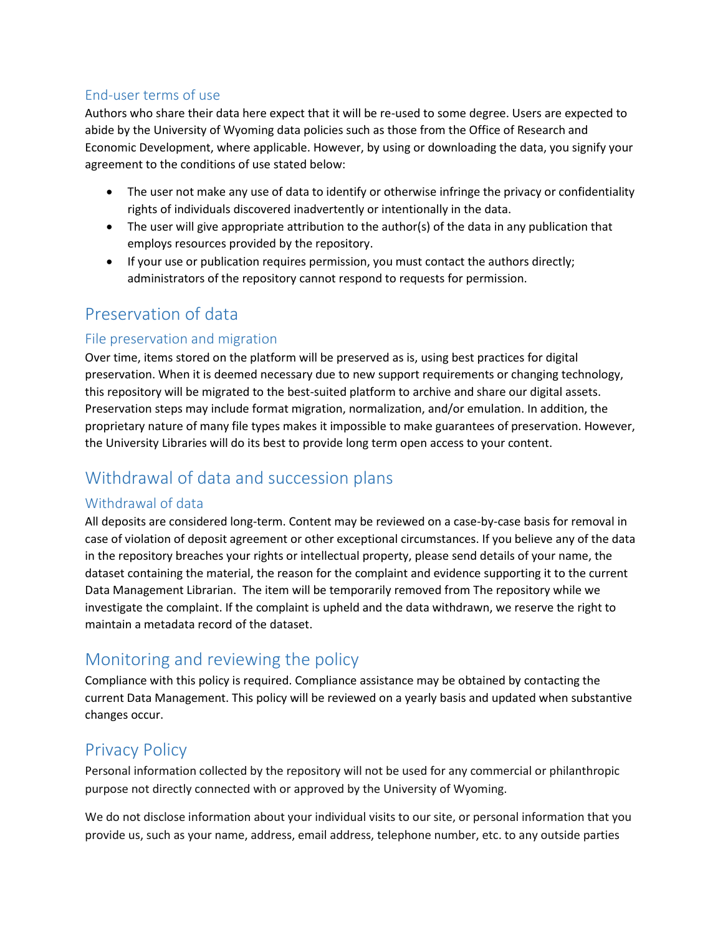#### End-user terms of use

Authors who share their data here expect that it will be re-used to some degree. Users are expected to abide by the University of Wyoming data policies such as those from the Office of Research and Economic Development, where applicable. However, by using or downloading the data, you signify your agreement to the conditions of use stated below:

- The user not make any use of data to identify or otherwise infringe the privacy or confidentiality rights of individuals discovered inadvertently or intentionally in the data.
- The user will give appropriate attribution to the author(s) of the data in any publication that employs resources provided by the repository.
- If your use or publication requires permission, you must contact the authors directly; administrators of the repository cannot respond to requests for permission.

## Preservation of data

#### File preservation and migration

Over time, items stored on the platform will be preserved as is, using best practices for digital preservation. When it is deemed necessary due to new support requirements or changing technology, this repository will be migrated to the best-suited platform to archive and share our digital assets. Preservation steps may include format migration, normalization, and/or emulation. In addition, the proprietary nature of many file types makes it impossible to make guarantees of preservation. However, the University Libraries will do its best to provide long term open access to your content.

# Withdrawal of data and succession plans

#### Withdrawal of data

All deposits are considered long-term. Content may be reviewed on a case-by-case basis for removal in case of violation of deposit agreement or other exceptional circumstances. If you believe any of the data in the repository breaches your rights or intellectual property, please send details of your name, the dataset containing the material, the reason for the complaint and evidence supporting it to the current Data Management Librarian. The item will be temporarily removed from The repository while we investigate the complaint. If the complaint is upheld and the data withdrawn, we reserve the right to maintain a metadata record of the dataset.

# Monitoring and reviewing the policy

Compliance with this policy is required. Compliance assistance may be obtained by contacting the current Data Management. This policy will be reviewed on a yearly basis and updated when substantive changes occur.

## Privacy Policy

Personal information collected by the repository will not be used for any commercial or philanthropic purpose not directly connected with or approved by the University of Wyoming.

We do not disclose information about your individual visits to our site, or personal information that you provide us, such as your name, address, email address, telephone number, etc. to any outside parties